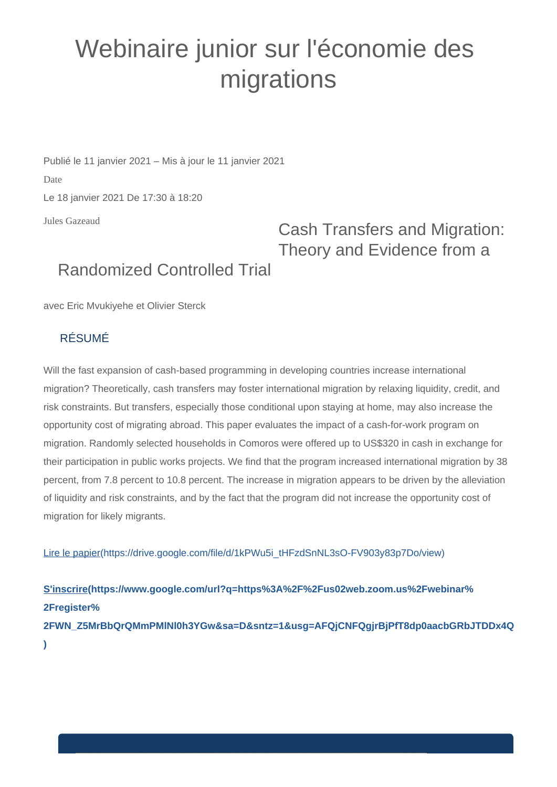## Webinaire junior sur l'économie des migrations

Publié le 11 janvier 2021 – Mis à jour le 11 janvier 2021 Date Le 18 janvier 2021 De 17:30 à 18:20

Jules Gazeaud

## Cash Transfers and Migration: Theory and Evidence from a

## Randomized Controlled Trial

avec Eric Mvukiyehe et Olivier Sterck

## RÉSUMÉ

Will the fast expansion of cash-based programming in developing countries increase international migration? Theoretically, cash transfers may foster international migration by relaxing liquidity, credit, and risk constraints. But transfers, especially those conditional upon staying at home, may also increase the opportunity cost of migrating abroad. This paper evaluates the impact of a cash-for-work program on migration. Randomly selected households in Comoros were offered up to US\$320 in cash in exchange for their participation in public works projects. We find that the program increased international migration by 38 percent, from 7.8 percent to 10.8 percent. The increase in migration appears to be driven by the alleviation of liquidity and risk constraints, and by the fact that the program did not increase the opportunity cost of migration for likely migrants.

[Lire le papier\(https://drive.google.com/file/d/1kPWu5i\\_tHFzdSnNL3sO-FV903y83p7Do/view\)](https://drive.google.com/file/d/1kPWu5i_tHFzdSnNL3sO-FV903y83p7Do/view)

**[S'inscrire\(https://www.google.com/url?q=https%3A%2F%2Fus02web.zoom.us%2Fwebinar%](https://www.google.com/url?q=https%3A%2F%2Fus02web.zoom.us%2Fwebinar%2Fregister%2FWN_Z5MrBbQrQMmPMlNl0h3YGw&sa=D&sntz=1&usg=AFQjCNFQgjrBjPfT8dp0aacbGRbJTDDx4Q) [2Fregister%](https://www.google.com/url?q=https%3A%2F%2Fus02web.zoom.us%2Fwebinar%2Fregister%2FWN_Z5MrBbQrQMmPMlNl0h3YGw&sa=D&sntz=1&usg=AFQjCNFQgjrBjPfT8dp0aacbGRbJTDDx4Q) [2FWN\\_Z5MrBbQrQMmPMlNl0h3YGw&sa=D&sntz=1&usg=AFQjCNFQgjrBjPfT8dp0aacbGRbJTDDx4Q](https://www.google.com/url?q=https%3A%2F%2Fus02web.zoom.us%2Fwebinar%2Fregister%2FWN_Z5MrBbQrQMmPMlNl0h3YGw&sa=D&sntz=1&usg=AFQjCNFQgjrBjPfT8dp0aacbGRbJTDDx4Q) [\)](https://www.google.com/url?q=https%3A%2F%2Fus02web.zoom.us%2Fwebinar%2Fregister%2FWN_Z5MrBbQrQMmPMlNl0h3YGw&sa=D&sntz=1&usg=AFQjCNFQgjrBjPfT8dp0aacbGRbJTDDx4Q)**